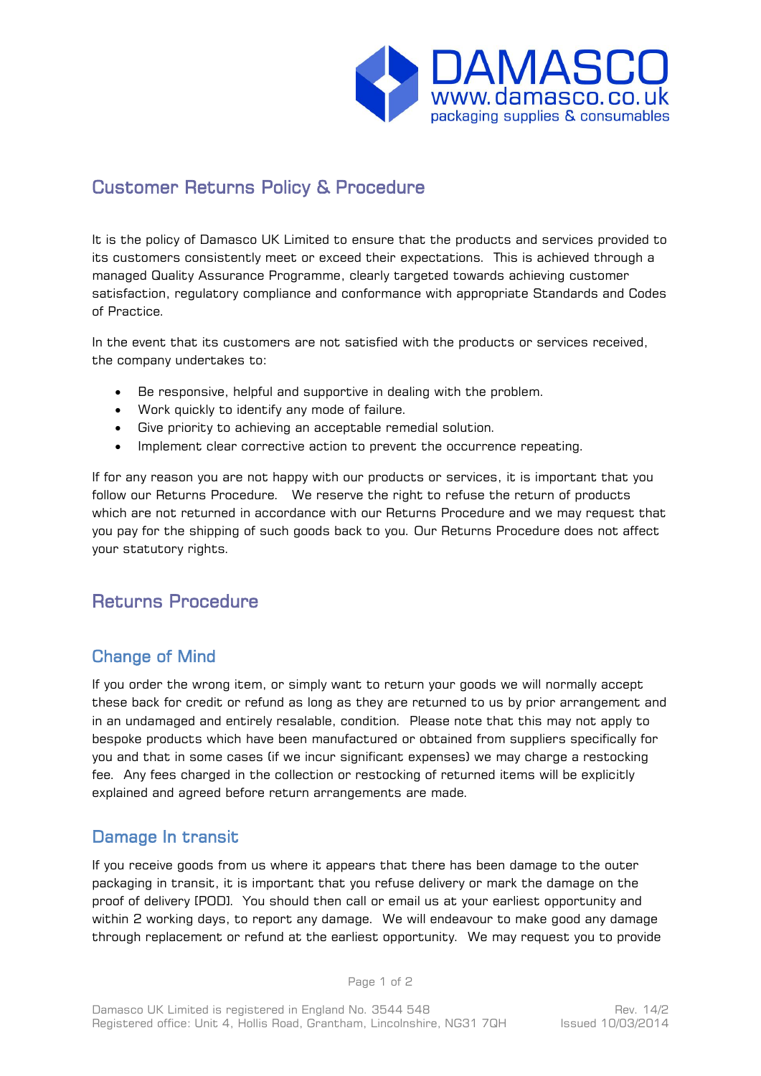

# Customer Returns Policy & Procedure

It is the policy of Damasco UK Limited to ensure that the products and services provided to its customers consistently meet or exceed their expectations. This is achieved through a managed Quality Assurance Programme, clearly targeted towards achieving customer satisfaction, regulatory compliance and conformance with appropriate Standards and Codes of Practice.

In the event that its customers are not satisfied with the products or services received, the company undertakes to:

- Be responsive, helpful and supportive in dealing with the problem.
- Work quickly to identify any mode of failure.
- Give priority to achieving an acceptable remedial solution.
- Implement clear corrective action to prevent the occurrence repeating.

If for any reason you are not happy with our products or services, it is important that you follow our Returns Procedure. We reserve the right to refuse the return of products which are not returned in accordance with our Returns Procedure and we may request that you pay for the shipping of such goods back to you. Our Returns Procedure does not affect your statutory rights.

## Returns Procedure

## Change of Mind

If you order the wrong item, or simply want to return your goods we will normally accept these back for credit or refund as long as they are returned to us by prior arrangement and in an undamaged and entirely resalable, condition. Please note that this may not apply to bespoke products which have been manufactured or obtained from suppliers specifically for you and that in some cases (if we incur significant expenses) we may charge a restocking fee. Any fees charged in the collection or restocking of returned items will be explicitly explained and agreed before return arrangements are made.

### Damage In transit

If you receive goods from us where it appears that there has been damage to the outer packaging in transit, it is important that you refuse delivery or mark the damage on the proof of delivery [POD]. You should then call or email us at your earliest opportunity and within 2 working days, to report any damage. We will endeavour to make good any damage through replacement or refund at the earliest opportunity. We may request you to provide